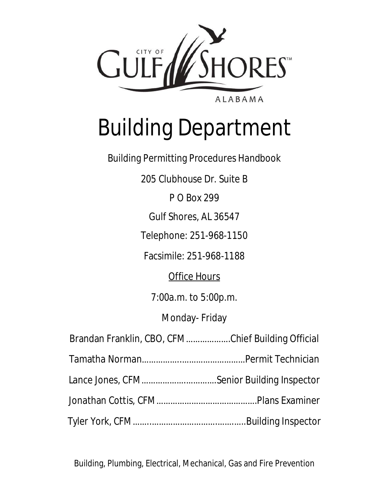

# Building Department

Building Permitting Procedures Handbook

205 Clubhouse Dr. Suite B

P O Box 299

Gulf Shores, AL 36547

Telephone: 251-968-1150

Facsimile: 251-968-1188

**Office Hours** 

7:00a.m. to 5:00p.m.

Monday- Friday

| Brandan Franklin, CBO, CFMChief Building Official |  |
|---------------------------------------------------|--|
|                                                   |  |
|                                                   |  |
|                                                   |  |
|                                                   |  |

Building, Plumbing, Electrical, Mechanical, Gas and Fire Prevention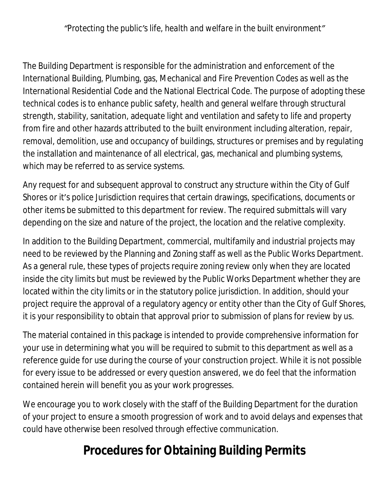*"Protecting the public's life, health and welfare in the built environment"*

The Building Department is responsible for the administration and enforcement of the International Building, Plumbing, gas, Mechanical and Fire Prevention Codes as well as the International Residential Code and the National Electrical Code. The purpose of adopting these technical codes is to enhance public safety, health and general welfare through structural strength, stability, sanitation, adequate light and ventilation and safety to life and property from fire and other hazards attributed to the built environment including alteration, repair, removal, demolition, use and occupancy of buildings, structures or premises and by regulating the installation and maintenance of all electrical, gas, mechanical and plumbing systems, which may be referred to as service systems.

Any request for and subsequent approval to construct any structure within the City of Gulf Shores or it's police Jurisdiction requires that certain drawings, specifications, documents or other items be submitted to this department for review. The required submittals will vary depending on the size and nature of the project, the location and the relative complexity.

In addition to the Building Department, commercial, multifamily and industrial projects may need to be reviewed by the Planning and Zoning staff as well as the Public Works Department. As a general rule, these types of projects require zoning review only when they are located inside the city limits but must be reviewed by the Public Works Department whether they are located within the city limits or in the statutory police jurisdiction. In addition, should your project require the approval of a regulatory agency or entity other than the City of Gulf Shores, it is your responsibility to obtain that approval prior to submission of plans for review by us.

The material contained in this package is intended to provide comprehensive information for your use in determining what you will be required to submit to this department as well as a reference guide for use during the course of your construction project. While it is not possible for every issue to be addressed or every question answered, we do feel that the information contained herein will benefit you as your work progresses.

We encourage you to work closely with the staff of the Building Department for the duration of your project to ensure a smooth progression of work and to avoid delays and expenses that could have otherwise been resolved through effective communication.

### **Procedures for Obtaining Building Permits**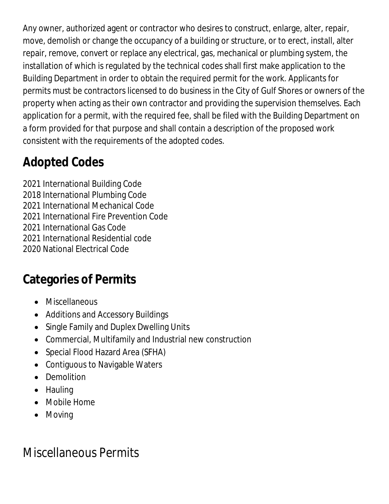Any owner, authorized agent or contractor who desires to construct, enlarge, alter, repair, move, demolish or change the occupancy of a building or structure, or to erect, install, alter repair, remove, convert or replace any electrical, gas, mechanical or plumbing system, the installation of which is regulated by the technical codes shall first make application to the Building Department in order to obtain the required permit for the work. Applicants for permits must be contractors licensed to do business in the City of Gulf Shores or owners of the property when acting as their own contractor and providing the supervision themselves. Each application for a permit, with the required fee, shall be filed with the Building Department on a form provided for that purpose and shall contain a description of the proposed work consistent with the requirements of the adopted codes.

# **Adopted Codes**

2021 International Building Code

- 2018 International Plumbing Code
- 2021 International Mechanical Code
- 2021 International Fire Prevention Code
- 2021 International Gas Code
- 2021 International Residential code
- 2020 National Electrical Code

# **Categories of Permits**

- Miscellaneous
- Additions and Accessory Buildings
- Single Family and Duplex Dwelling Units
- Commercial, Multifamily and Industrial new construction
- Special Flood Hazard Area (SFHA)
- Contiguous to Navigable Waters
- Demolition
- Hauling
- Mobile Home
- Moving

# Miscellaneous Permits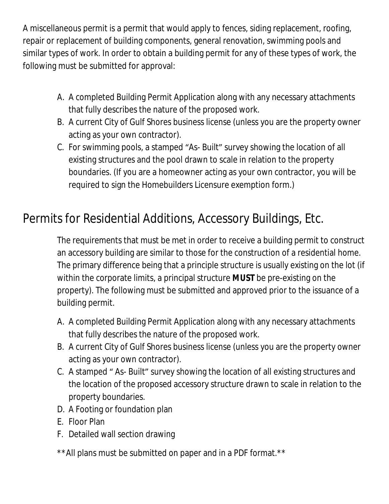A miscellaneous permit is a permit that would apply to fences, siding replacement, roofing, repair or replacement of building components, general renovation, swimming pools and similar types of work. In order to obtain a building permit for any of these types of work, the following must be submitted for approval:

- A. A completed Building Permit Application along with any necessary attachments that fully describes the nature of the proposed work.
- B. A current City of Gulf Shores business license (unless you are the property owner acting as your own contractor).
- C. For swimming pools, a stamped "As- Built" survey showing the location of all existing structures and the pool drawn to scale in relation to the property boundaries. (If you are a homeowner acting as your own contractor, you will be required to sign the Homebuilders Licensure exemption form.)

### Permits for Residential Additions, Accessory Buildings, Etc.

The requirements that must be met in order to receive a building permit to construct an accessory building are similar to those for the construction of a residential home. The primary difference being that a principle structure is usually existing on the lot (if within the corporate limits, a principal structure **MUST** be pre-existing on the property). The following must be submitted and approved prior to the issuance of a building permit.

- A. A completed Building Permit Application along with any necessary attachments that fully describes the nature of the proposed work.
- B. A current City of Gulf Shores business license (unless you are the property owner acting as your own contractor).
- C. A stamped " As- Built" survey showing the location of all existing structures and the location of the proposed accessory structure drawn to scale in relation to the property boundaries.
- D. A Footing or foundation plan
- E. Floor Plan
- F. Detailed wall section drawing
- \*\*All plans must be submitted on paper and in a PDF format.\*\*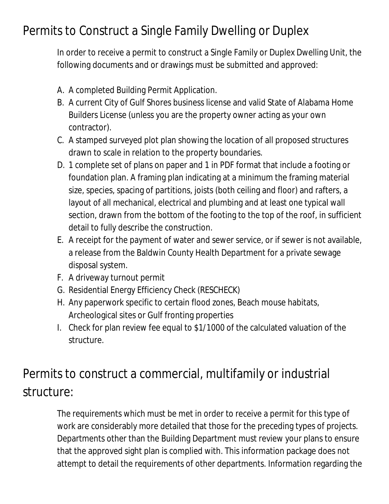### Permits to Construct a Single Family Dwelling or Duplex

In order to receive a permit to construct a Single Family or Duplex Dwelling Unit, the following documents and or drawings must be submitted and approved:

- A. A completed Building Permit Application.
- B. A current City of Gulf Shores business license and valid State of Alabama Home Builders License (unless you are the property owner acting as your own contractor).
- C. A stamped surveyed plot plan showing the location of all proposed structures drawn to scale in relation to the property boundaries.
- D. 1 complete set of plans on paper and 1 in PDF format that include a footing or foundation plan. A framing plan indicating at a minimum the framing material size, species, spacing of partitions, joists (both ceiling and floor) and rafters, a layout of all mechanical, electrical and plumbing and at least one typical wall section, drawn from the bottom of the footing to the top of the roof, in sufficient detail to fully describe the construction.
- E. A receipt for the payment of water and sewer service, or if sewer is not available, a release from the Baldwin County Health Department for a private sewage disposal system.
- F. A driveway turnout permit
- G. Residential Energy Efficiency Check (RESCHECK)
- H. Any paperwork specific to certain flood zones, Beach mouse habitats, Archeological sites or Gulf fronting properties
- I. Check for plan review fee equal to \$1/1000 of the calculated valuation of the structure.

# Permits to construct a commercial, multifamily or industrial structure:

The requirements which must be met in order to receive a permit for this type of work are considerably more detailed that those for the preceding types of projects. Departments other than the Building Department must review your plans to ensure that the approved sight plan is complied with. This information package does not attempt to detail the requirements of other departments. Information regarding the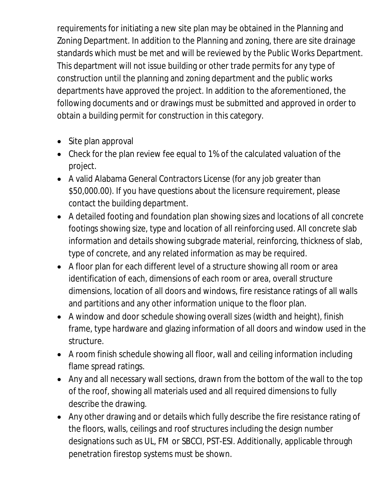requirements for initiating a new site plan may be obtained in the Planning and Zoning Department. In addition to the Planning and zoning, there are site drainage standards which must be met and will be reviewed by the Public Works Department. This department will not issue building or other trade permits for any type of construction until the planning and zoning department and the public works departments have approved the project. In addition to the aforementioned, the following documents and or drawings must be submitted and approved in order to obtain a building permit for construction in this category.

- Site plan approval
- Check for the plan review fee equal to 1% of the calculated valuation of the project.
- A valid Alabama General Contractors License (for any job greater than \$50,000.00). If you have questions about the licensure requirement, please contact the building department.
- A detailed footing and foundation plan showing sizes and locations of all concrete footings showing size, type and location of all reinforcing used. All concrete slab information and details showing subgrade material, reinforcing, thickness of slab, type of concrete, and any related information as may be required.
- A floor plan for each different level of a structure showing all room or area identification of each, dimensions of each room or area, overall structure dimensions, location of all doors and windows, fire resistance ratings of all walls and partitions and any other information unique to the floor plan.
- A window and door schedule showing overall sizes (width and height), finish frame, type hardware and glazing information of all doors and window used in the structure.
- A room finish schedule showing all floor, wall and ceiling information including flame spread ratings.
- Any and all necessary wall sections, drawn from the bottom of the wall to the top of the roof, showing all materials used and all required dimensions to fully describe the drawing.
- Any other drawing and or details which fully describe the fire resistance rating of the floors, walls, ceilings and roof structures including the design number designations such as UL, FM or SBCCI, PST-ESI. Additionally, applicable through penetration firestop systems must be shown.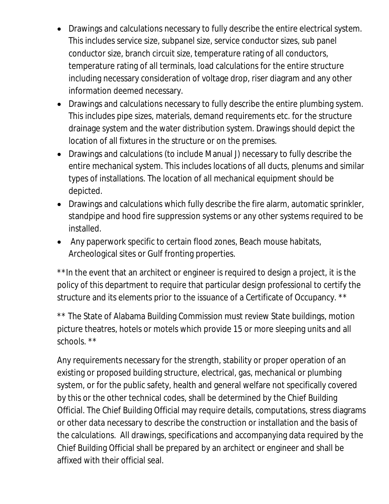- Drawings and calculations necessary to fully describe the entire electrical system. This includes service size, subpanel size, service conductor sizes, sub panel conductor size, branch circuit size, temperature rating of all conductors, temperature rating of all terminals, load calculations for the entire structure including necessary consideration of voltage drop, riser diagram and any other information deemed necessary.
- Drawings and calculations necessary to fully describe the entire plumbing system. This includes pipe sizes, materials, demand requirements etc. for the structure drainage system and the water distribution system. Drawings should depict the location of all fixtures in the structure or on the premises.
- Drawings and calculations (to include Manual J) necessary to fully describe the entire mechanical system. This includes locations of all ducts, plenums and similar types of installations. The location of all mechanical equipment should be depicted.
- Drawings and calculations which fully describe the fire alarm, automatic sprinkler, standpipe and hood fire suppression systems or any other systems required to be installed.
- Any paperwork specific to certain flood zones, Beach mouse habitats, Archeological sites or Gulf fronting properties.

\*\*In the event that an architect or engineer is required to design a project, it is the policy of this department to require that particular design professional to certify the structure and its elements prior to the issuance of a Certificate of Occupancy. \*\*

\*\* The State of Alabama Building Commission must review State buildings, motion picture theatres, hotels or motels which provide 15 or more sleeping units and all schools. \*\*

Any requirements necessary for the strength, stability or proper operation of an existing or proposed building structure, electrical, gas, mechanical or plumbing system, or for the public safety, health and general welfare not specifically covered by this or the other technical codes, shall be determined by the Chief Building Official. The Chief Building Official may require details, computations, stress diagrams or other data necessary to describe the construction or installation and the basis of the calculations. All drawings, specifications and accompanying data required by the Chief Building Official shall be prepared by an architect or engineer and shall be affixed with their official seal.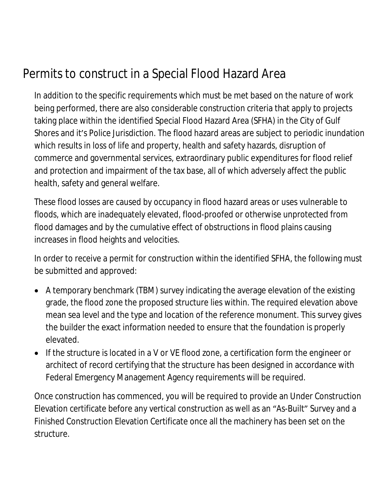# Permits to construct in a Special Flood Hazard Area

In addition to the specific requirements which must be met based on the nature of work being performed, there are also considerable construction criteria that apply to projects taking place within the identified Special Flood Hazard Area (SFHA) in the City of Gulf Shores and it's Police Jurisdiction. The flood hazard areas are subject to periodic inundation which results in loss of life and property, health and safety hazards, disruption of commerce and governmental services, extraordinary public expenditures for flood relief and protection and impairment of the tax base, all of which adversely affect the public health, safety and general welfare.

These flood losses are caused by occupancy in flood hazard areas or uses vulnerable to floods, which are inadequately elevated, flood-proofed or otherwise unprotected from flood damages and by the cumulative effect of obstructions in flood plains causing increases in flood heights and velocities.

In order to receive a permit for construction within the identified SFHA, the following must be submitted and approved:

- A temporary benchmark (TBM) survey indicating the average elevation of the existing grade, the flood zone the proposed structure lies within. The required elevation above mean sea level and the type and location of the reference monument. This survey gives the builder the exact information needed to ensure that the foundation is properly elevated.
- If the structure is located in a V or VE flood zone, a certification form the engineer or architect of record certifying that the structure has been designed in accordance with Federal Emergency Management Agency requirements will be required.

Once construction has commenced, you will be required to provide an Under Construction Elevation certificate before any vertical construction as well as an "As-Built" Survey and a Finished Construction Elevation Certificate once all the machinery has been set on the structure.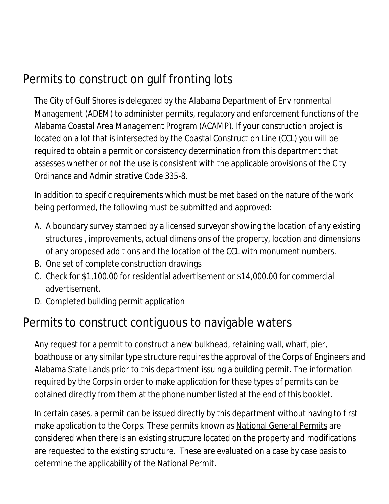### Permits to construct on gulf fronting lots

The City of Gulf Shores is delegated by the Alabama Department of Environmental Management (ADEM) to administer permits, regulatory and enforcement functions of the Alabama Coastal Area Management Program (ACAMP). If your construction project is located on a lot that is intersected by the Coastal Construction Line (CCL) you will be required to obtain a permit or consistency determination from this department that assesses whether or not the use is consistent with the applicable provisions of the City Ordinance and Administrative Code 335-8.

In addition to specific requirements which must be met based on the nature of the work being performed, the following must be submitted and approved:

- A. A boundary survey stamped by a licensed surveyor showing the location of any existing structures , improvements, actual dimensions of the property, location and dimensions of any proposed additions and the location of the CCL with monument numbers.
- B. One set of complete construction drawings
- C. Check for \$1,100.00 for residential advertisement or \$14,000.00 for commercial advertisement.
- D. Completed building permit application

### Permits to construct contiguous to navigable waters

Any request for a permit to construct a new bulkhead, retaining wall, wharf, pier, boathouse or any similar type structure requires the approval of the Corps of Engineers and Alabama State Lands prior to this department issuing a building permit. The information required by the Corps in order to make application for these types of permits can be obtained directly from them at the phone number listed at the end of this booklet.

In certain cases, a permit can be issued directly by this department without having to first make application to the Corps. These permits known as National General Permits are considered when there is an existing structure located on the property and modifications are requested to the existing structure. These are evaluated on a case by case basis to determine the applicability of the National Permit.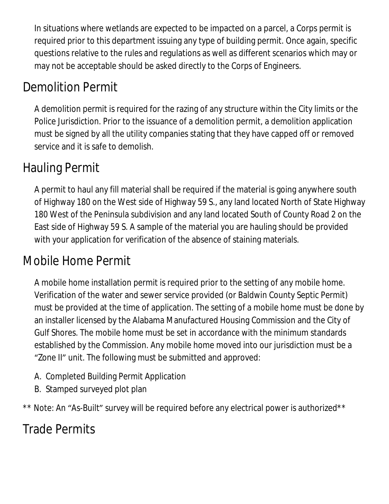In situations where wetlands are expected to be impacted on a parcel, a Corps permit is required prior to this department issuing any type of building permit. Once again, specific questions relative to the rules and regulations as well as different scenarios which may or may not be acceptable should be asked directly to the Corps of Engineers.

# Demolition Permit

A demolition permit is required for the razing of any structure within the City limits or the Police Jurisdiction. Prior to the issuance of a demolition permit, a demolition application must be signed by all the utility companies stating that they have capped off or removed service and it is safe to demolish.

### Hauling Permit

A permit to haul any fill material shall be required if the material is going anywhere south of Highway 180 on the West side of Highway 59 S., any land located North of State Highway 180 West of the Peninsula subdivision and any land located South of County Road 2 on the East side of Highway 59 S. A sample of the material you are hauling should be provided with your application for verification of the absence of staining materials.

### Mobile Home Permit

A mobile home installation permit is required prior to the setting of any mobile home. Verification of the water and sewer service provided (or Baldwin County Septic Permit) must be provided at the time of application. The setting of a mobile home must be done by an installer licensed by the Alabama Manufactured Housing Commission and the City of Gulf Shores. The mobile home must be set in accordance with the minimum standards established by the Commission. Any mobile home moved into our jurisdiction must be a "Zone II" unit. The following must be submitted and approved:

- A. Completed Building Permit Application
- B. Stamped surveyed plot plan

\*\* Note: An "As-Built" survey will be required before any electrical power is authorized\*\*

### Trade Permits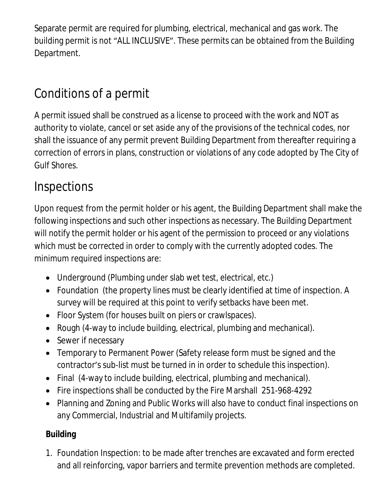Separate permit are required for plumbing, electrical, mechanical and gas work. The building permit is not "ALL INCLUSIVE". These permits can be obtained from the Building Department.

### Conditions of a permit

A permit issued shall be construed as a license to proceed with the work and NOT as authority to violate, cancel or set aside any of the provisions of the technical codes, nor shall the issuance of any permit prevent Building Department from thereafter requiring a correction of errors in plans, construction or violations of any code adopted by The City of Gulf Shores.

### Inspections

Upon request from the permit holder or his agent, the Building Department shall make the following inspections and such other inspections as necessary. The Building Department will notify the permit holder or his agent of the permission to proceed or any violations which must be corrected in order to comply with the currently adopted codes. The minimum required inspections are:

- Underground (Plumbing under slab wet test, electrical, etc.)
- Foundation (the property lines must be clearly identified at time of inspection. A survey will be required at this point to verify setbacks have been met.
- Floor System (for houses built on piers or crawlspaces).
- Rough (4-way to include building, electrical, plumbing and mechanical).
- Sewer if necessary
- Temporary to Permanent Power (Safety release form must be signed and the contractor's sub-list must be turned in in order to schedule this inspection).
- Final (4-way to include building, electrical, plumbing and mechanical).
- Fire inspections shall be conducted by the Fire Marshall 251-968-4292
- Planning and Zoning and Public Works will also have to conduct final inspections on any Commercial, Industrial and Multifamily projects.

#### **Building**

1. Foundation Inspection: to be made after trenches are excavated and form erected and all reinforcing, vapor barriers and termite prevention methods are completed.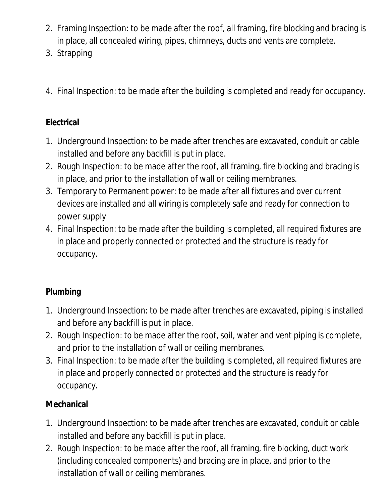- 2. Framing Inspection: to be made after the roof, all framing, fire blocking and bracing is in place, all concealed wiring, pipes, chimneys, ducts and vents are complete.
- 3. Strapping
- 4. Final Inspection: to be made after the building is completed and ready for occupancy.

#### **Electrical**

- 1. Underground Inspection: to be made after trenches are excavated, conduit or cable installed and before any backfill is put in place.
- 2. Rough Inspection: to be made after the roof, all framing, fire blocking and bracing is in place, and prior to the installation of wall or ceiling membranes.
- 3. Temporary to Permanent power: to be made after all fixtures and over current devices are installed and all wiring is completely safe and ready for connection to power supply
- 4. Final Inspection: to be made after the building is completed, all required fixtures are in place and properly connected or protected and the structure is ready for occupancy.

#### **Plumbing**

- 1. Underground Inspection: to be made after trenches are excavated, piping is installed and before any backfill is put in place.
- 2. Rough Inspection: to be made after the roof, soil, water and vent piping is complete, and prior to the installation of wall or ceiling membranes.
- 3. Final Inspection: to be made after the building is completed, all required fixtures are in place and properly connected or protected and the structure is ready for occupancy.

#### **Mechanical**

- 1. Underground Inspection: to be made after trenches are excavated, conduit or cable installed and before any backfill is put in place.
- 2. Rough Inspection: to be made after the roof, all framing, fire blocking, duct work (including concealed components) and bracing are in place, and prior to the installation of wall or ceiling membranes.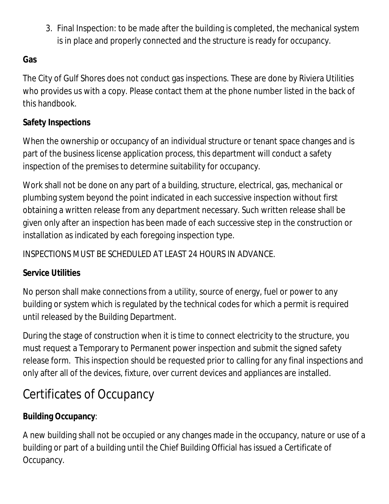3. Final Inspection: to be made after the building is completed, the mechanical system is in place and properly connected and the structure is ready for occupancy.

#### **Gas**

The City of Gulf Shores does not conduct gas inspections. These are done by Riviera Utilities who provides us with a copy. Please contact them at the phone number listed in the back of this handbook.

#### **Safety Inspections**

When the ownership or occupancy of an individual structure or tenant space changes and is part of the business license application process, this department will conduct a safety inspection of the premises to determine suitability for occupancy.

Work shall not be done on any part of a building, structure, electrical, gas, mechanical or plumbing system beyond the point indicated in each successive inspection without first obtaining a written release from any department necessary. Such written release shall be given only after an inspection has been made of each successive step in the construction or installation as indicated by each foregoing inspection type.

INSPECTIONS MUST BE SCHEDULED AT LEAST 24 HOURS IN ADVANCE.

#### **Service Utilities**

No person shall make connections from a utility, source of energy, fuel or power to any building or system which is regulated by the technical codes for which a permit is required until released by the Building Department.

During the stage of construction when it is time to connect electricity to the structure, you must request a Temporary to Permanent power inspection and submit the signed safety release form. This inspection should be requested prior to calling for any final inspections and only after all of the devices, fixture, over current devices and appliances are installed.

# Certificates of Occupancy

#### **Building Occupancy**:

A new building shall not be occupied or any changes made in the occupancy, nature or use of a building or part of a building until the Chief Building Official has issued a Certificate of Occupancy.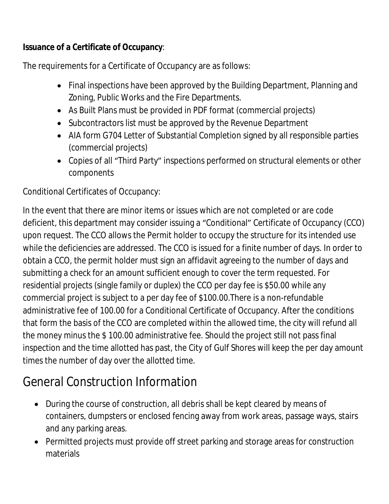#### **Issuance of a Certificate of Occupancy**:

The requirements for a Certificate of Occupancy are as follows:

- Final inspections have been approved by the Building Department, Planning and Zoning, Public Works and the Fire Departments.
- As Built Plans must be provided in PDF format (commercial projects)
- Subcontractors list must be approved by the Revenue Department
- AIA form G704 Letter of Substantial Completion signed by all responsible parties (commercial projects)
- Copies of all "Third Party" inspections performed on structural elements or other components

Conditional Certificates of Occupancy:

In the event that there are minor items or issues which are not completed or are code deficient, this department may consider issuing a "Conditional" Certificate of Occupancy (CCO) upon request. The CCO allows the Permit holder to occupy the structure for its intended use while the deficiencies are addressed. The CCO is issued for a finite number of days. In order to obtain a CCO, the permit holder must sign an affidavit agreeing to the number of days and submitting a check for an amount sufficient enough to cover the term requested. For residential projects (single family or duplex) the CCO per day fee is \$50.00 while any commercial project is subject to a per day fee of \$100.00.There is a non-refundable administrative fee of 100.00 for a Conditional Certificate of Occupancy. After the conditions that form the basis of the CCO are completed within the allowed time, the city will refund all the money minus the \$ 100.00 administrative fee. Should the project still not pass final inspection and the time allotted has past, the City of Gulf Shores will keep the per day amount times the number of day over the allotted time.

### General Construction Information

- During the course of construction, all debris shall be kept cleared by means of containers, dumpsters or enclosed fencing away from work areas, passage ways, stairs and any parking areas.
- Permitted projects must provide off street parking and storage areas for construction materials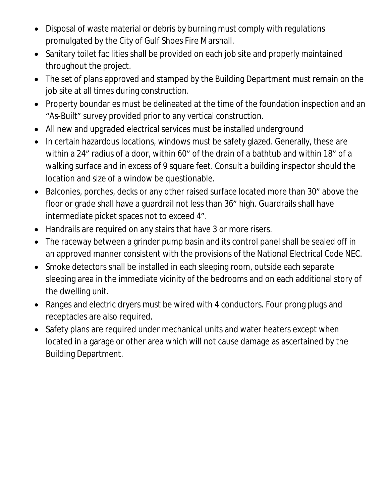- Disposal of waste material or debris by burning must comply with regulations promulgated by the City of Gulf Shoes Fire Marshall.
- Sanitary toilet facilities shall be provided on each job site and properly maintained throughout the project.
- The set of plans approved and stamped by the Building Department must remain on the job site at all times during construction.
- Property boundaries must be delineated at the time of the foundation inspection and an "As-Built" survey provided prior to any vertical construction.
- All new and upgraded electrical services must be installed underground
- In certain hazardous locations, windows must be safety glazed. Generally, these are within a 24" radius of a door, within 60" of the drain of a bathtub and within 18" of a walking surface and in excess of 9 square feet. Consult a building inspector should the location and size of a window be questionable.
- Balconies, porches, decks or any other raised surface located more than 30" above the floor or grade shall have a guardrail not less than 36" high. Guardrails shall have intermediate picket spaces not to exceed 4".
- Handrails are required on any stairs that have 3 or more risers.
- The raceway between a grinder pump basin and its control panel shall be sealed off in an approved manner consistent with the provisions of the National Electrical Code NEC.
- Smoke detectors shall be installed in each sleeping room, outside each separate sleeping area in the immediate vicinity of the bedrooms and on each additional story of the dwelling unit.
- Ranges and electric dryers must be wired with 4 conductors. Four prong plugs and receptacles are also required.
- Safety plans are required under mechanical units and water heaters except when located in a garage or other area which will not cause damage as ascertained by the Building Department.